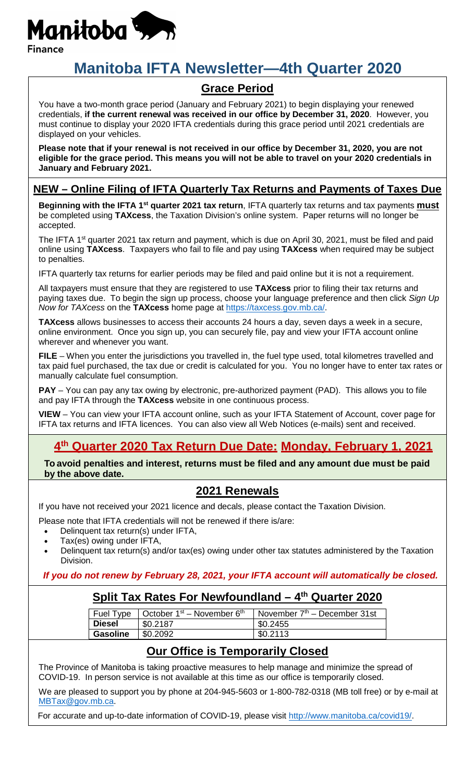

# **Manitoba IFTA Newsletter—4th Quarter 2020**

## **Grace Period**

You have a two-month grace period (January and February 2021) to begin displaying your renewed credentials, **if the current renewal was received in our office by December 31, 2020**. However, you must continue to display your 2020 IFTA credentials during this grace period until 2021 credentials are displayed on your vehicles.

**Please note that if your renewal is not received in our office by December 31, 2020, you are not eligible for the grace period. This means you will not be able to travel on your 2020 credentials in January and February 2021.**

#### **NEW – Online Filing of IFTA Quarterly Tax Returns and Payments of Taxes Due**

**Beginning with the IFTA 1<sup>st</sup> quarter 2021 tax return**, IFTA quarterly tax returns and tax payments **must** be completed using **TAXcess**, the Taxation Division's online system. Paper returns will no longer be accepted.

The IFTA 1<sup>st</sup> quarter 2021 tax return and payment, which is due on April 30, 2021, must be filed and paid online using **TAXcess**. Taxpayers who fail to file and pay using **TAXcess** when required may be subject to penalties.

IFTA quarterly tax returns for earlier periods may be filed and paid online but it is not a requirement.

All taxpayers must ensure that they are registered to use **TAXcess** prior to filing their tax returns and paying taxes due. To begin the sign up process, choose your language preference and then click *Sign Up Now for TAXcess* on the **TAXcess** home page at [https://taxcess.gov.mb.ca/.](https://taxcess.gov.mb.ca/)

**TAXcess** allows businesses to access their accounts 24 hours a day, seven days a week in a secure, online environment. Once you sign up, you can securely file, pay and view your IFTA account online wherever and whenever you want.

**FILE** – When you enter the jurisdictions you travelled in, the fuel type used, total kilometres travelled and tax paid fuel purchased, the tax due or credit is calculated for you. You no longer have to enter tax rates or manually calculate fuel consumption.

**PAY** – You can pay any tax owing by electronic, pre-authorized payment (PAD). This allows you to file and pay IFTA through the **TAXcess** website in one continuous process.

**VIEW** – You can view your IFTA account online, such as your IFTA Statement of Account, cover page for IFTA tax returns and IFTA licences. You can also view all Web Notices (e-mails) sent and received.

## **4th Quarter 2020 Tax Return Due Date: Monday, February 1, 2021**

**To avoid penalties and interest, returns must be filed and any amount due must be paid by the above date.**

#### **2021 Renewals**

If you have not received your 2021 licence and decals, please contact the Taxation Division.

Please note that IFTA credentials will not be renewed if there is/are:

- Delinquent tax return(s) under IFTA,
- Tax(es) owing under IFTA,
- Delinquent tax return(s) and/or tax(es) owing under other tax statutes administered by the Taxation Division.

#### *If you do not renew by February 28, 2021, your IFTA account will automatically be closed.*

### **Split Tax Rates For Newfoundland – 4th Quarter 2020**

| Fuel Type       | October $1st$ – November $6th$ | l November 7 <sup>th</sup> – December 31st |
|-----------------|--------------------------------|--------------------------------------------|
| <b>Diesel</b>   | \$0.2187                       | \$0.2455                                   |
| <b>Gasoline</b> | \$0.2092                       | \$0.2113                                   |

### **Our Office is Temporarily Closed**

The Province of Manitoba is taking proactive measures to help manage and minimize the spread of COVID-19. In person service is not available at this time as our office is temporarily closed.

We are pleased to support you by phone at 204-945-5603 or 1-800-782-0318 (MB toll free) or by e-mail at [MBTax@gov.mb.ca.](mailto:MBTax@gov.mb.ca)

For accurate and up-to-date information of COVID-19, please visit [http://www.manitoba.ca/covid19/.](http://www.manitoba.ca/covid19/)